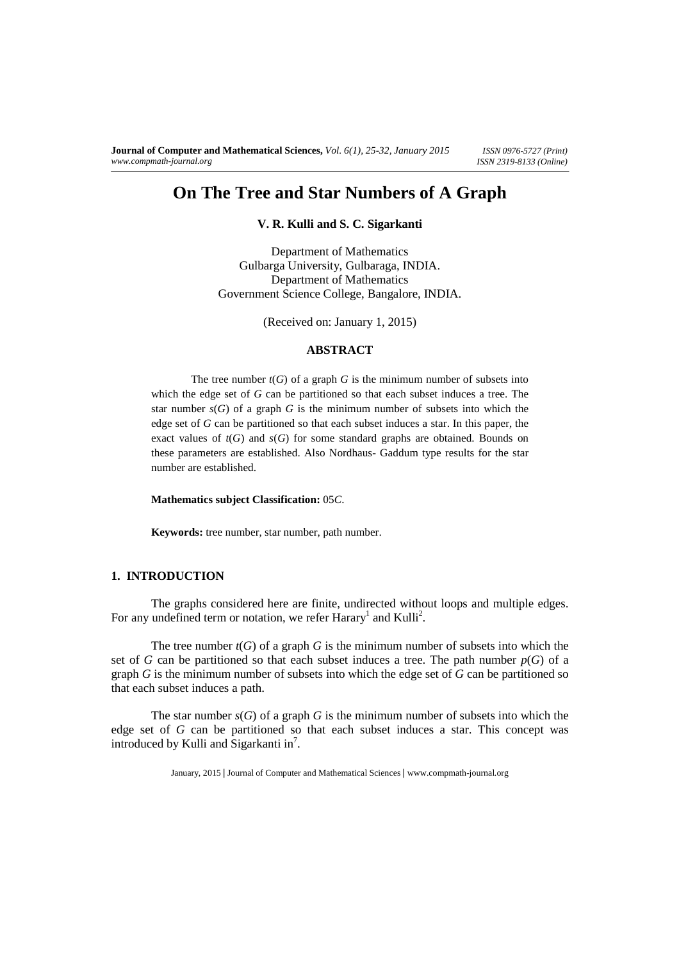# **On The Tree and Star Numbers of A Graph**

**V. R. Kulli and S. C. Sigarkanti** 

Department of Mathematics Gulbarga University, Gulbaraga, INDIA. Department of Mathematics Government Science College, Bangalore, INDIA.

(Received on: January 1, 2015)

## **ABSTRACT**

The tree number  $t(G)$  of a graph *G* is the minimum number of subsets into which the edge set of *G* can be partitioned so that each subset induces a tree. The star number  $s(G)$  of a graph G is the minimum number of subsets into which the edge set of *G* can be partitioned so that each subset induces a star. In this paper, the exact values of  $t(G)$  and  $s(G)$  for some standard graphs are obtained. Bounds on these parameters are established. Also Nordhaus- Gaddum type results for the star number are established.

**Mathematics subject Classification:** 05*C*.

**Keywords:** tree number, star number, path number.

### **1. INTRODUCTION**

The graphs considered here are finite, undirected without loops and multiple edges. For any undefined term or notation, we refer Harary<sup>1</sup> and Kulli<sup>2</sup>.

The tree number  $t(G)$  of a graph G is the minimum number of subsets into which the set of *G* can be partitioned so that each subset induces a tree. The path number  $p(G)$  of a graph *G* is the minimum number of subsets into which the edge set of *G* can be partitioned so that each subset induces a path.

The star number  $s(G)$  of a graph *G* is the minimum number of subsets into which the edge set of *G* can be partitioned so that each subset induces a star. This concept was introduced by Kulli and Sigarkanti in<sup>7</sup>.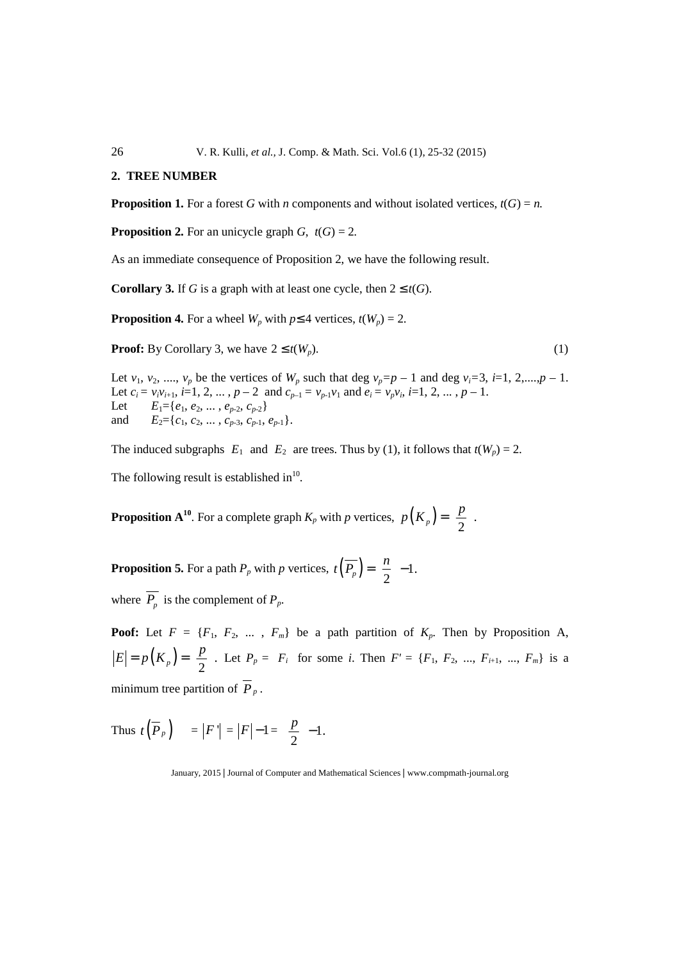26 V. R. Kulli, *et al.,* J. Comp. & Math. Sci. Vol.6 (1), 25-32 (2015)

#### **2. TREE NUMBER**

**Proposition 1.** For a forest *G* with *n* components and without isolated vertices,  $t(G) = n$ .

**Proposition 2.** For an unicycle graph  $G$ ,  $t(G) = 2$ .

As an immediate consequence of Proposition 2, we have the following result.

**Corollary 3.** If *G* is a graph with at least one cycle, then  $2 \le t(G)$ .

**Proposition 4.** For a wheel  $W_p$  with  $p \leq 4$  vertices,  $t(W_p) = 2$ .

**Proof:** By Corollary 3, we have  $2 \le t(W_p)$ . (1)

Let  $v_1$ ,  $v_2$ , ...,  $v_p$  be the vertices of  $W_p$  such that deg  $v_p = p - 1$  and deg  $v_i = 3$ ,  $i = 1, 2, \ldots, p - 1$ . Let  $c_i = v_i v_{i+1}, i=1, 2, ..., p-2$  and  $c_{p-1} = v_{p-1} v_1$  and  $e_i = v_p v_i, i=1, 2, ..., p-1$ . Let  $E_1 = \{e_1, e_2, \ldots, e_{p-2}, c_{p-2}\}\$ and  $E_2 = \{c_1, c_2, \ldots, c_{p-3}, c_{p-1}, e_{p-1}\}.$ 

The induced subgraphs  $E_1$  and  $E_2$  are trees. Thus by (1), it follows that  $t(W_p) = 2$ .

The following result is established in $^{10}$ .

**Proposition A<sup>10</sup>**. For a complete graph  $K_p$  with *p* vertices,  $p(K_p) = \left| \frac{p}{2} \right|$ .  $p(K_p) = \left(\frac{p}{2}\right)$ 

**Proposition 5.** For a path  $P_p$  with *p* vertices,  $t\left(\overline{P_p}\right) = \left|\frac{n}{2}\right| - 1$ .  $t\left(\overline{P_p}\right) = \left(\frac{n}{2}\right) -$ 

where  $P_p$  is the complement of  $P_p$ .

**Poof:** Let  $F = \{F_1, F_2, \dots, F_m\}$  be a path partition of  $K_p$ . Then by Proposition A,  $(K_p) = \left| \frac{p}{2} \right|.$  $E = p(K_p) = \left| \frac{p}{2} \right|$ . Let  $P_p = F_i$  for some *i*. Then  $F' = \{F_1, F_2, ..., F_{i+1}, ..., F_m\}$  is a minimum tree partition of  $\overline{P}_p$ .

Thus  $t(P_p) = |F'| = |F| - 1 = \left|\frac{P}{2}\right| - 1.$  $\left|\frac{p}{2}\right|$  –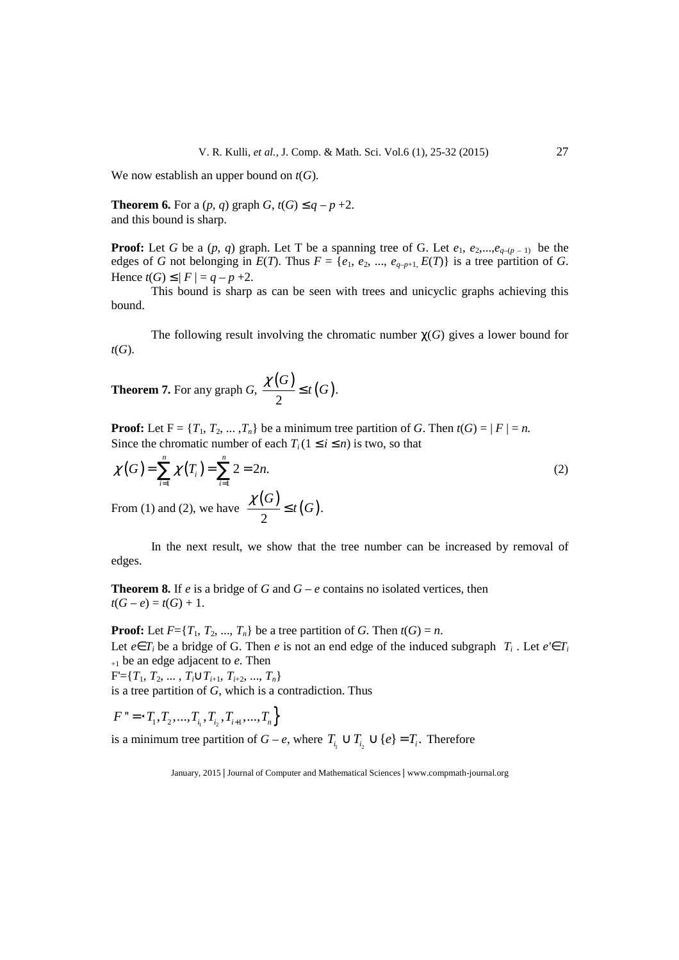We now establish an upper bound on *t*(*G*).

**Theorem 6.** For a  $(p, q)$  graph  $G$ ,  $t(G) \leq q - p + 2$ . and this bound is sharp.

**Proof:** Let *G* be a  $(p, q)$  graph. Let T be a spanning tree of G. Let  $e_1, e_2, \ldots, e_{q-(p-1)}$  be the edges of *G* not belonging in  $E(T)$ . Thus  $F = \{e_1, e_2, ..., e_{q-p+1}, E(T)\}$  is a tree partition of *G*. Hence  $t(G) \leq |F| = q - p + 2$ .

 This bound is sharp as can be seen with trees and unicyclic graphs achieving this bound.

The following result involving the chromatic number  $\chi(G)$  gives a lower bound for *t*(*G*).

**Theorem 7.** For any graph *G*,  $\frac{\chi(G)}{2} \leq t(G)$ . *G*  $\frac{\chi(G)}{g} \leq t(G)$ 

**Proof:** Let  $F = \{T_1, T_2, \ldots, T_n\}$  be a minimum tree partition of *G*. Then  $t(G) = |F| = n$ . Since the chromatic number of each  $T_i$  ( $1 \le i \le n$ ) is two, so that

$$
\chi(G) = \sum_{i=1}^{n} \chi(T_i) = \sum_{i=1}^{n} 2 = 2n.
$$
\nFrom (1) and (2), we have

\n
$$
\frac{\chi(G)}{2} \le t(G).
$$
\n(2)

 In the next result, we show that the tree number can be increased by removal of edges.

**Theorem 8.** If *e* is a bridge of *G* and  $G - e$  contains no isolated vertices, then  $t(G - e) = t(G) + 1.$ 

**Proof:** Let  $F = \{T_1, T_2, ..., T_n\}$  be a tree partition of *G*. Then  $t(G) = n$ . Let  $e \in T_i$  be a bridge of G. Then  $e$  is not an end edge of the induced subgraph  $T_i$ . Let  $e' \in T_i$ +1 be an edge adjacent to *e*. Then  $F' = \{T_1, T_2, \ldots, T_i \cup T_{i+1}, T_{i+2}, \ldots, T_n\}$ is a tree partition of *G*, which is a contradiction. Thus

$$
F'' = \left\{T_1, T_2, ..., T_{i_1}, T_{i_2}, T_{i+1}, ..., T_n\right\}
$$

is a minimum tree partition of  $G - e$ , where  $T_{i_1} \cup T_{i_2} \cup \{e\} = T_i$ . Therefore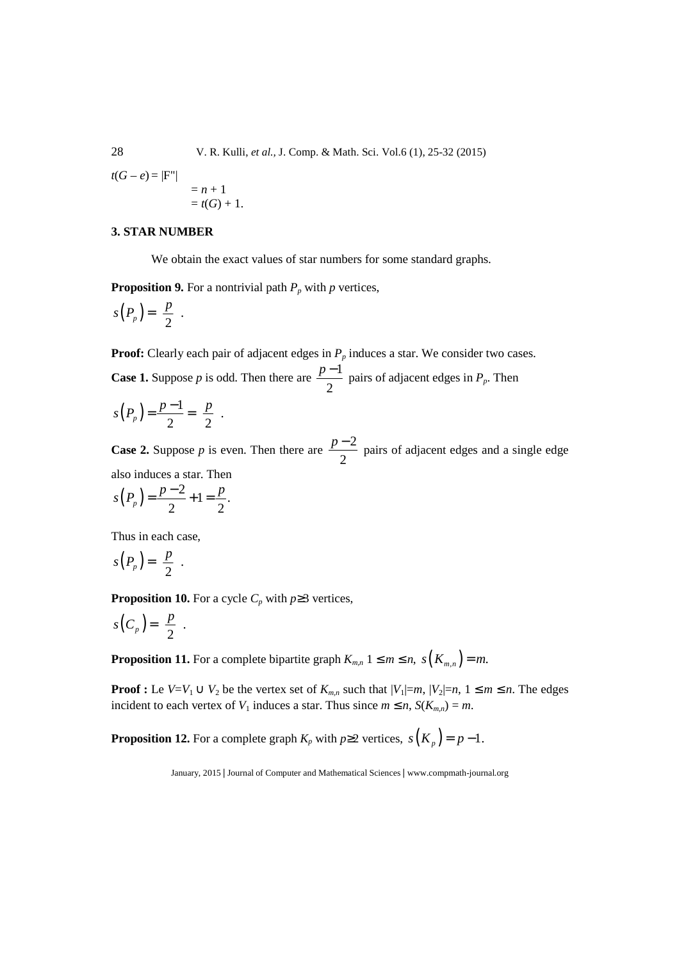28 V. R. Kulli, *et al.,* J. Comp. & Math. Sci. Vol.6 (1), 25-32 (2015)

$$
t(G-e) = |Fn|
$$
  
= n + 1  
= t(G) + 1.

## **3. STAR NUMBER**

We obtain the exact values of star numbers for some standard graphs.

**Proposition 9.** For a nontrivial path  $P_p$  with  $p$  vertices,

$$
s(P_p) = \left\lfloor \frac{p}{2} \right\rfloor.
$$

**Proof:** Clearly each pair of adjacent edges in  $P_p$  induces a star. We consider two cases. **Case 1.** Suppose *p* is odd. Then there are  $\frac{p-1}{2}$ 2  $\frac{p-1}{2}$  pairs of adjacent edges in  $P_p$ . Then

$$
s(P_p) = \frac{p-1}{2} = \left\lfloor \frac{p}{2} \right\rfloor.
$$

**Case 2.** Suppose *p* is even. Then there are  $\frac{p-2}{2}$ 2  $\frac{p-2}{q}$  pairs of adjacent edges and a single edge also induces a star. Then

$$
s(P_p) = \frac{p-2}{2} + 1 = \frac{p}{2}.
$$

Thus in each case,

$$
s(P_p) = \left\lfloor \frac{p}{2} \right\rfloor.
$$

**Proposition 10.** For a cycle  $C_p$  with  $p \ge 3$  vertices,

$$
s(C_p) = \left\lceil \frac{p}{2} \right\rceil.
$$

**Proposition 11.** For a complete bipartite graph  $K_{m,n}$   $1 \leq m \leq n$ ,  $s(K_{m,n}) = m$ .

**Proof :** Le  $V=V_1 \cup V_2$  be the vertex set of  $K_{m,n}$  such that  $|V_1|=m$ ,  $|V_2|=n$ ,  $1 \le m \le n$ . The edges incident to each vertex of  $V_1$  induces a star. Thus since  $m \le n$ ,  $S(K_{mn}) = m$ .

**Proposition 12.** For a complete graph  $K_p$  with  $p \ge 2$  vertices,  $s(K_p) = p - 1$ .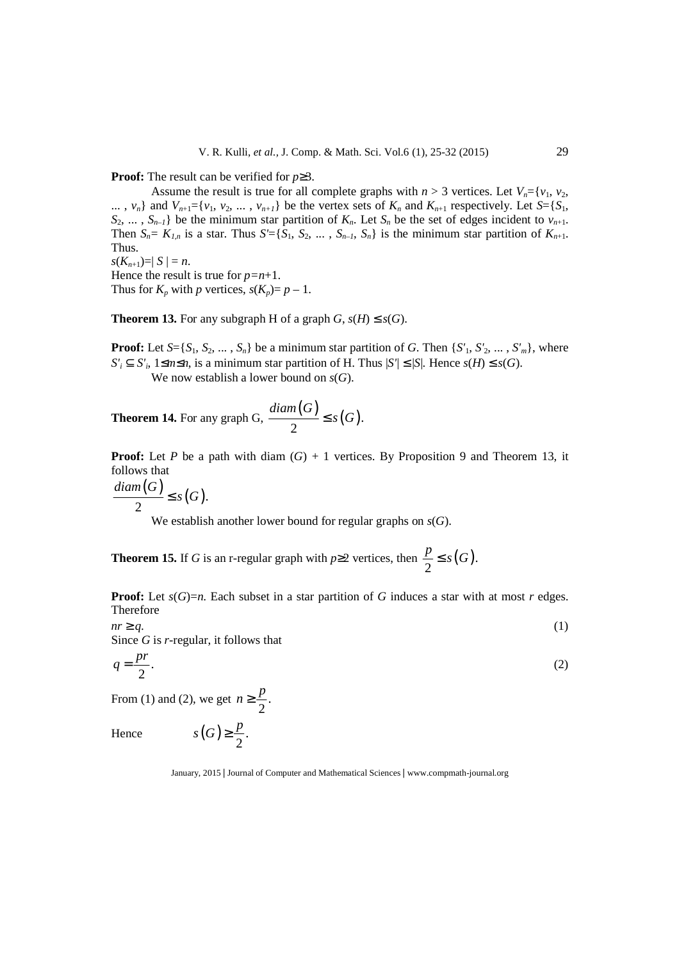**Proof:** The result can be verified for *p*≥3.

Assume the result is true for all complete graphs with  $n > 3$  vertices. Let  $V_n = \{v_1, v_2, v_3, v_4, v_5, v_6, v_7, v_8, v_9, v_{10}\}$  $\ldots$ ,  $v_n$  and  $V_{n+1} = \{v_1, v_2, \ldots, v_{n+1}\}$  be the vertex sets of  $K_n$  and  $K_{n+1}$  respectively. Let  $S = \{S_1, S_2, \ldots, S_n\}$  $S_2$ , ...,  $S_{n-1}$ } be the minimum star partition of  $K_n$ . Let  $S_n$  be the set of edges incident to  $v_{n+1}$ . Then  $S_n = K_{1,n}$  is a star. Thus  $S' = \{S_1, S_2, \ldots, S_{n-1}, S_n\}$  is the minimum star partition of  $K_{n+1}$ . Thus.

 $s(K_{n+1})=|S|=n$ . Hence the result is true for  $p=n+1$ . Thus for  $K_p$  with *p* vertices,  $s(K_p)=p-1$ .

**Theorem 13.** For any subgraph H of a graph  $G$ ,  $s(H) \leq s(G)$ .

**Proof:** Let  $S = \{S_1, S_2, \ldots, S_n\}$  be a minimum star partition of *G*. Then  $\{S'_1, S'_2, \ldots, S'_m\}$ , where  $S'$ <sup>*i*</sup>  $\subseteq$  *S'*<sup>*i*</sup>,  $1 \le m \le n$ , is a minimum star partition of H. Thus  $|S'| \le |S|$ . Hence *s*(*H*)  $\le$  *s*(*G*).

We now establish a lower bound on *s*(*G*).

**Theorem 14.** For any graph G,  $\frac{diam(G)}{2} \leq s(G)$ . *diam G* ≤ *s G*

**Proof:** Let *P* be a path with diam  $(G) + 1$  vertices. By Proposition 9 and Theorem 13, it follows that

$$
\frac{diam(G)}{2} \leq s(G).
$$

We establish another lower bound for regular graphs on *s*(*G*).

**Theorem 15.** If *G* is an r-regular graph with  $p \ge 2$  vertices, then  $\frac{p}{2} \le s(G)$ .  $\frac{p}{s} \leq s(G)$ 

**Proof:** Let  $s(G)=n$ . Each subset in a star partition of G induces a star with at most r edges. Therefore

 $nr \geq q$ . (1) Since *G* is *r*-regular, it follows that

$$
q = \frac{pr}{2}.\tag{2}
$$

From (1) and (2), we get  $n \geq \frac{P}{2}$ . 2  $p \geq \frac{p}{2}$ 

 $s(G) \geq \frac{p}{2}$ .

Hence  $s(G) \geq \frac{p}{2}$ .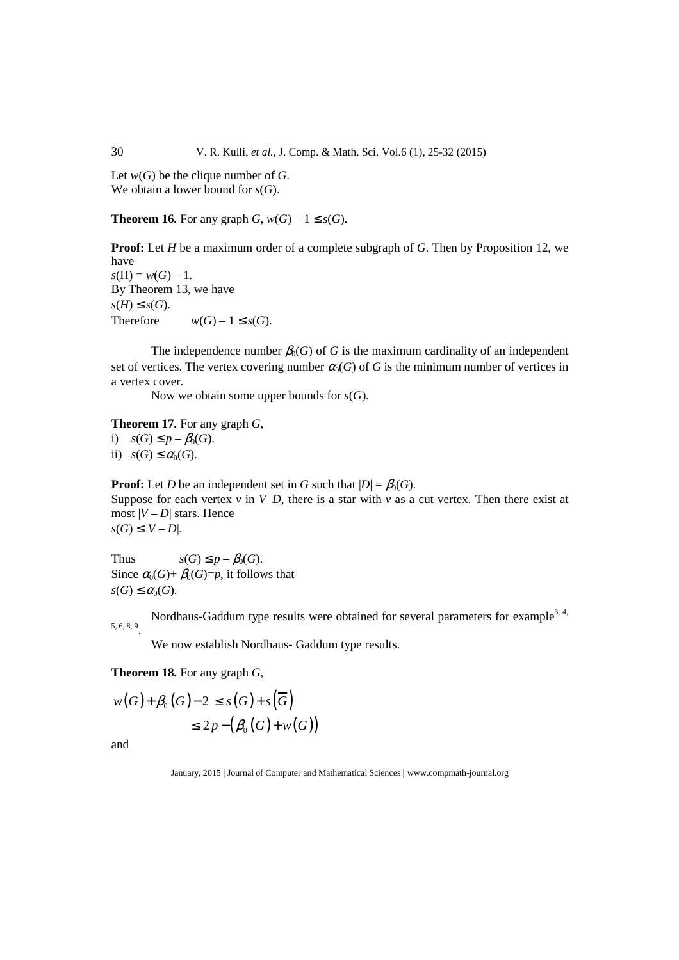Let *w*(*G*) be the clique number of *G*. We obtain a lower bound for *s*(*G*).

**Theorem 16.** For any graph  $G$ ,  $w(G) - 1 \leq s(G)$ .

**Proof:** Let *H* be a maximum order of a complete subgraph of *G*. Then by Proposition 12, we have  $s(H) = w(G) - 1.$ By Theorem 13, we have  $s(H)$  ≤  $s(G)$ . Therefore  $w(G) - 1 \leq s(G)$ .

The independence number  $\beta_0(G)$  of *G* is the maximum cardinality of an independent set of vertices. The vertex covering number  $\alpha_0(G)$  of *G* is the minimum number of vertices in a vertex cover.

Now we obtain some upper bounds for *s*(*G*).

**Theorem 17.** For any graph *G*, i)  $s(G) \leq p - \beta_0(G)$ .

ii)  $s(G) \leq \alpha_0(G)$ .

**Proof:** Let *D* be an independent set in *G* such that  $|D| = \beta_0(G)$ . Suppose for each vertex  $v$  in  $V-D$ , there is a star with  $v$  as a cut vertex. Then there exist at most  $|V - D|$  stars. Hence  $s(G)$  ≤ |*V* − *D*|.

Thus  $s(G) \leq p - \beta_0(G)$ . Since  $\alpha_0(G) + \beta_0(G)=p$ , it follows that  $s(G) \leq \alpha_0(G)$ .

Nordhaus-Gaddum type results were obtained for several parameters for example<sup>3, 4,</sup> 5, 6, 8, 9 .

We now establish Nordhaus- Gaddum type results.

**Theorem 18.** For any graph *G*,

 $w(G) + \beta_0(G) - 2 \leq s(G) + s(\overline{G})$  $\leq 2p - (\beta_0(G) + w(G))$ 

and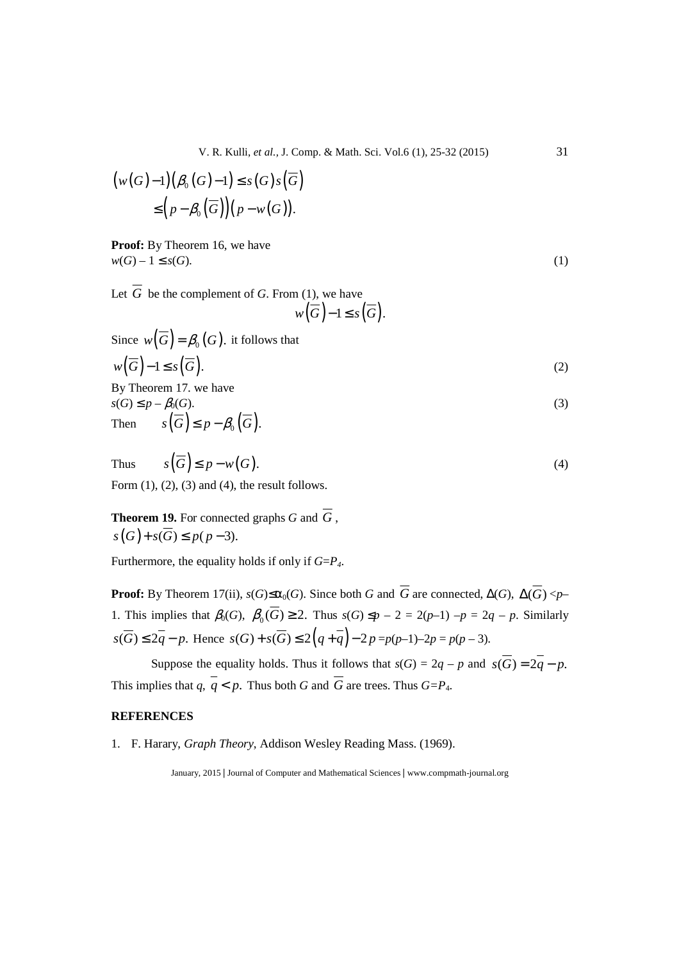V. R. Kulli, *et al.,* J. Comp. & Math. Sci. Vol.6 (1), 25-32 (2015) 31

$$
\begin{aligned} \big(w(G)-1\big)\big(\beta_0(G)-1\big)&\leq s(G)s\big(\overline{G}\big) \\ &\leq \Big(p-\beta_0\big(\overline{G}\big)\Big)\big(p-w(G)\big). \end{aligned}
$$

**Proof:** By Theorem 16, we have  $w(G) - 1 \leq s(G).$  (1)

Let  $\overline{G}$  be the complement of *G*. From (1), we have  $w(\overline{G})-1 \leq s(\overline{G}).$ 

Since 
$$
w(\overline{G}) = \beta_0(G)
$$
, it follows that  
\n $w(\overline{G}) - 1 \le s(\overline{G})$ . (2)

By Theorem 17. we have  $s(G) \leq p - \beta_0(G).$  (3) Then  $s(\overline{G}) \leq p - \beta_0(\overline{G}).$ 

Thus 
$$
s(\overline{G}) \le p - w(G)
$$
.  
Form (1), (2), (3) and (4), the result follows.

**Theorem 19.** For connected graphs *G* and  $\overline{G}$ ,  $s(G)+s(\overline{G})\leq p(p-3).$ 

Furthermore, the equality holds if only if *G*=*P4*.

**Proof:** By Theorem 17(ii),  $s(G) \leq \alpha_0(G)$ . Since both *G* and  $\overline{G}$  are connected,  $\Delta(G)$ ,  $\Delta(\overline{G}) < p-$ 1. This implies that  $\beta_0(G)$ ,  $\beta_0(G) \geq 2$ . Thus  $s(G) \leq p - 2 = 2(p-1) - p = 2q - p$ . Similarly  $s(\overline{G}) \leq 2q - p$ . Hence  $s(G) + s(\overline{G}) \leq 2(q + q) - 2p = p(p-1) - 2p = p(p-3)$ .

Suppose the equality holds. Thus it follows that  $s(G) = 2q - p$  and  $s(\overline{G}) = 2\overline{q} - p$ . This implies that  $q, \overline{q} < p$ . Thus both *G* and  $\overline{G}$  are trees. Thus  $G = P_4$ .

## **REFERENCES**

1. F. Harary, *Graph Theory*, Addison Wesley Reading Mass. (1969).